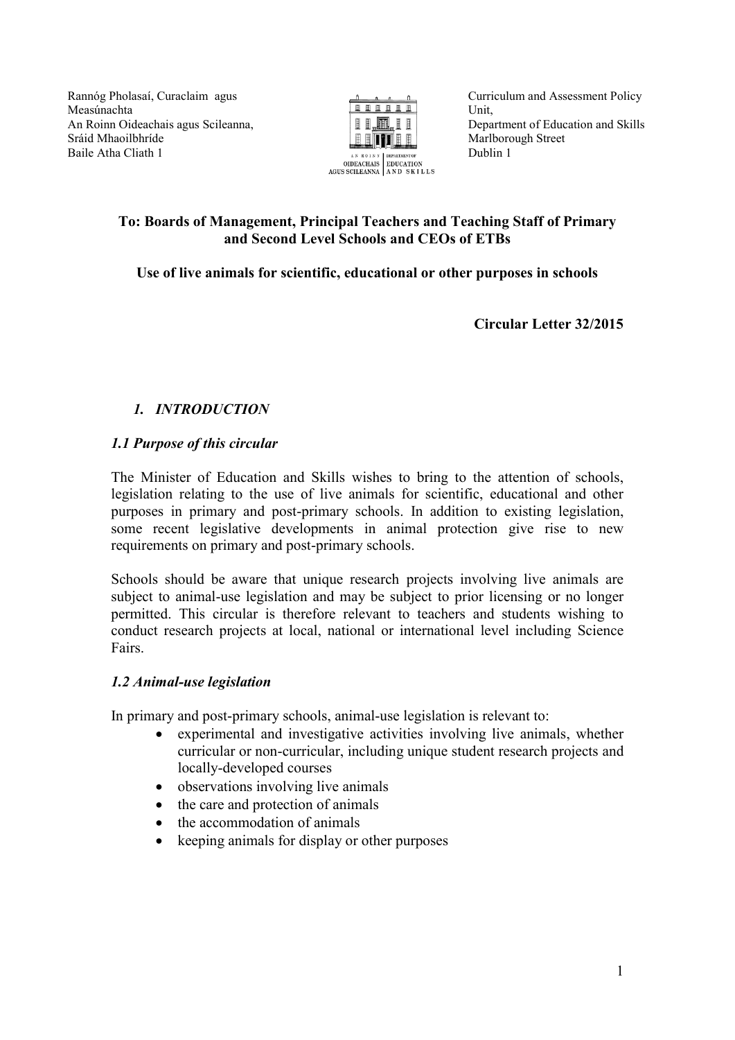Rannóg Pholasaí, Curaclaim agus Measúnachta An Roinn Oideachais agus Scileanna, Sráid Mhaoilbhríde Baile Atha Cliath 1



Curriculum and Assessment Policy Unit, Department of Education and Skills Marlborough Street Dublin 1

## **To: Boards of Management, Principal Teachers and Teaching Staff of Primary and Second Level Schools and CEOs of ETBs**

**Use of live animals for scientific, educational or other purposes in schools**

**Circular Letter 32/2015**

# *1. INTRODUCTION*

## *1.1 Purpose of this circular*

The Minister of Education and Skills wishes to bring to the attention of schools, legislation relating to the use of live animals for scientific, educational and other purposes in primary and post-primary schools. In addition to existing legislation, some recent legislative developments in animal protection give rise to new requirements on primary and post-primary schools.

Schools should be aware that unique research projects involving live animals are subject to animal-use legislation and may be subject to prior licensing or no longer permitted. This circular is therefore relevant to teachers and students wishing to conduct research projects at local, national or international level including Science Fairs.

#### *1.2 Animal-use legislation*

In primary and post-primary schools, animal-use legislation is relevant to:

- experimental and investigative activities involving live animals, whether curricular or non-curricular, including unique student research projects and locally-developed courses
- observations involving live animals
- the care and protection of animals
- the accommodation of animals
- keeping animals for display or other purposes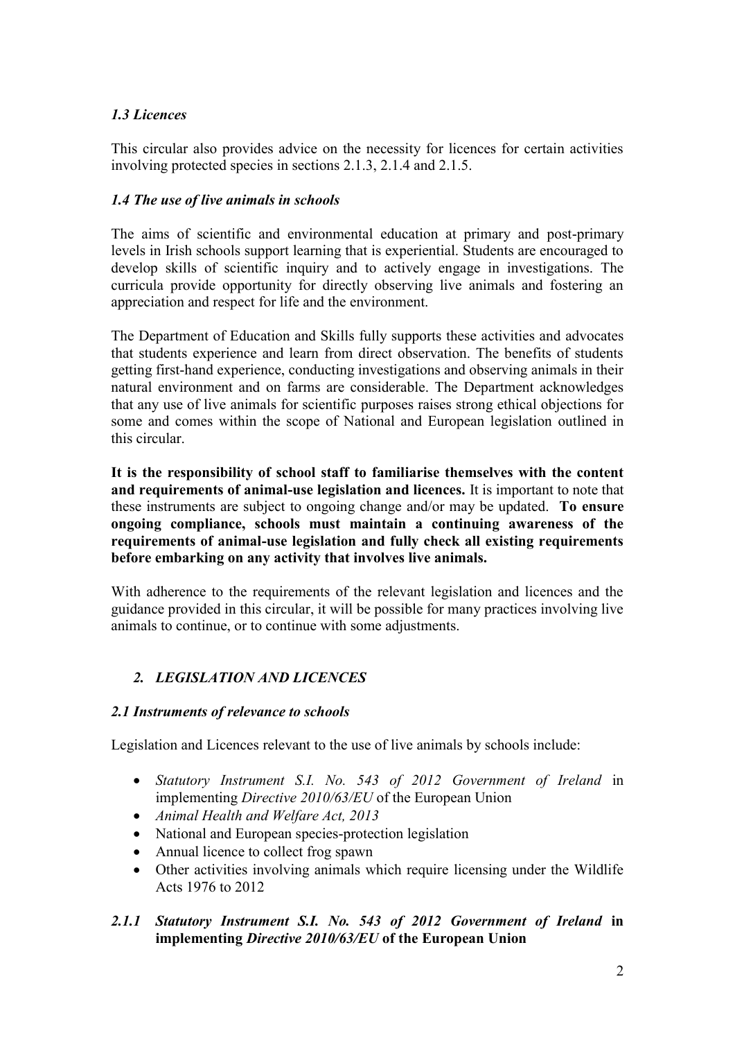## *1.3 Licences*

This circular also provides advice on the necessity for licences for certain activities involving protected species in sections 2.1.3, 2.1.4 and 2.1.5.

### *1.4 The use of live animals in schools*

The aims of scientific and environmental education at primary and post-primary levels in Irish schools support learning that is experiential. Students are encouraged to develop skills of scientific inquiry and to actively engage in investigations. The curricula provide opportunity for directly observing live animals and fostering an appreciation and respect for life and the environment.

The Department of Education and Skills fully supports these activities and advocates that students experience and learn from direct observation. The benefits of students getting first-hand experience, conducting investigations and observing animals in their natural environment and on farms are considerable. The Department acknowledges that any use of live animals for scientific purposes raises strong ethical objections for some and comes within the scope of National and European legislation outlined in this circular.

**It is the responsibility of school staff to familiarise themselves with the content and requirements of animal-use legislation and licences.** It is important to note that these instruments are subject to ongoing change and/or may be updated. **To ensure ongoing compliance, schools must maintain a continuing awareness of the requirements of animal-use legislation and fully check all existing requirements before embarking on any activity that involves live animals.** 

With adherence to the requirements of the relevant legislation and licences and the guidance provided in this circular, it will be possible for many practices involving live animals to continue, or to continue with some adjustments.

## *2. LEGISLATION AND LICENCES*

#### *2.1 Instruments of relevance to schools*

Legislation and Licences relevant to the use of live animals by schools include:

- *Statutory Instrument S.I. No. 543 of 2012 Government of Ireland* in implementing *Directive 2010/63/EU* of the European Union
- *Animal Health and Welfare Act, 2013*
- National and European species-protection legislation
- Annual licence to collect frog spawn
- Other activities involving animals which require licensing under the Wildlife Acts 1976 to 2012

## *2.1.1 Statutory Instrument S.I. No. 543 of 2012 Government of Ireland* **in implementing** *Directive 2010/63/EU* **of the European Union**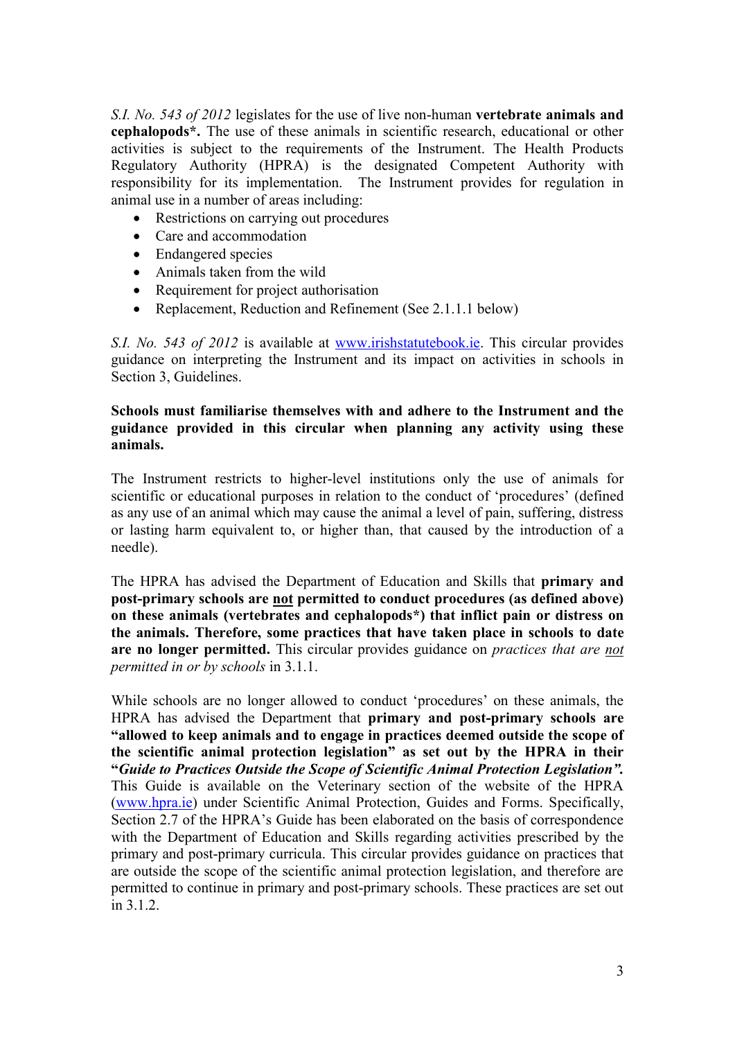*S.I. No. 543 of 2012* legislates for the use of live non-human **vertebrate animals and cephalopods\*.** The use of these animals in scientific research, educational or other activities is subject to the requirements of the Instrument. The Health Products Regulatory Authority (HPRA) is the designated Competent Authority with responsibility for its implementation. The Instrument provides for regulation in animal use in a number of areas including:

- Restrictions on carrying out procedures
- Care and accommodation
- Endangered species
- Animals taken from the wild
- Requirement for project authorisation
- Replacement, Reduction and Refinement (See 2.1.1.1 below)

*S.I. No. 543 of 2012* is available at [www.irishstatutebook.ie.](http://www.irishstatutebook.ie/) This circular provides guidance on interpreting the Instrument and its impact on activities in schools in Section 3, Guidelines.

#### **Schools must familiarise themselves with and adhere to the Instrument and the guidance provided in this circular when planning any activity using these animals.**

The Instrument restricts to higher-level institutions only the use of animals for scientific or educational purposes in relation to the conduct of 'procedures' (defined as any use of an animal which may cause the animal a level of pain, suffering, distress or lasting harm equivalent to, or higher than, that caused by the introduction of a needle).

The HPRA has advised the Department of Education and Skills that **primary and post-primary schools are not permitted to conduct procedures (as defined above) on these animals (vertebrates and cephalopods\*) that inflict pain or distress on the animals. Therefore, some practices that have taken place in schools to date are no longer permitted.** This circular provides guidance on *practices that are not permitted in or by schools* in 3.1.1.

While schools are no longer allowed to conduct 'procedures' on these animals, the HPRA has advised the Department that **primary and post-primary schools are "allowed to keep animals and to engage in practices deemed outside the scope of the scientific animal protection legislation" as set out by the HPRA in their "***Guide to Practices Outside the Scope of Scientific Animal Protection Legislation".* This Guide is available on the Veterinary section of the website of the HPRA [\(www.hpra.ie\)](http://www.hpra.ie/) under Scientific Animal Protection, Guides and Forms. Specifically, Section 2.7 of the HPRA's Guide has been elaborated on the basis of correspondence with the Department of Education and Skills regarding activities prescribed by the primary and post-primary curricula. This circular provides guidance on practices that are outside the scope of the scientific animal protection legislation, and therefore are permitted to continue in primary and post-primary schools. These practices are set out in 3.1.2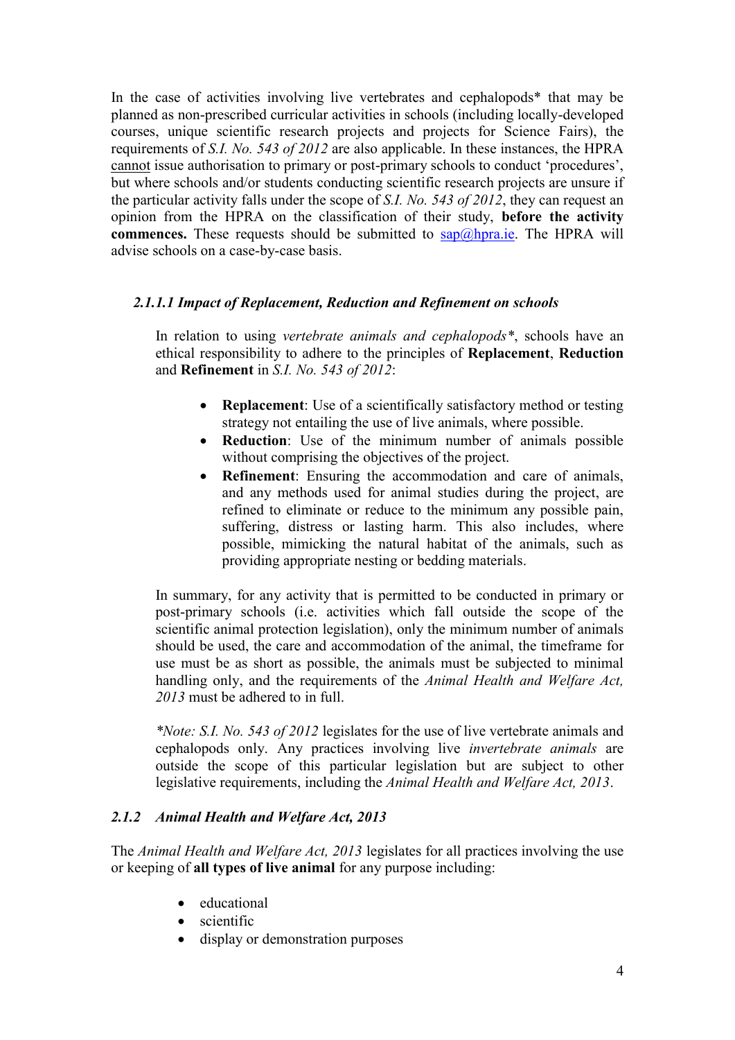In the case of activities involving live vertebrates and cephalopods\* that may be planned as non-prescribed curricular activities in schools (including locally-developed courses, unique scientific research projects and projects for Science Fairs), the requirements of *S.I. No. 543 of 2012* are also applicable. In these instances, the HPRA cannot issue authorisation to primary or post-primary schools to conduct 'procedures', but where schools and/or students conducting scientific research projects are unsure if the particular activity falls under the scope of *S.I. No. 543 of 2012*, they can request an opinion from the HPRA on the classification of their study, **before the activity commences.** These requests should be submitted to  $\frac{\text{cap}(\hat{a})}{\text{hpra} \cdot \text{ie}}$ . The HPRA will advise schools on a case-by-case basis.

#### *2.1.1.1 Impact of Replacement, Reduction and Refinement on schools*

In relation to using *vertebrate animals and cephalopods\**, schools have an ethical responsibility to adhere to the principles of **Replacement**, **Reduction** and **Refinement** in *S.I. No. 543 of 2012*:

- **Replacement**: Use of a scientifically satisfactory method or testing strategy not entailing the use of live animals, where possible.
- **Reduction**: Use of the minimum number of animals possible without comprising the objectives of the project.
- **Refinement**: Ensuring the accommodation and care of animals, and any methods used for animal studies during the project, are refined to eliminate or reduce to the minimum any possible pain, suffering, distress or lasting harm. This also includes, where possible, mimicking the natural habitat of the animals, such as providing appropriate nesting or bedding materials.

In summary, for any activity that is permitted to be conducted in primary or post-primary schools (i.e. activities which fall outside the scope of the scientific animal protection legislation), only the minimum number of animals should be used, the care and accommodation of the animal, the timeframe for use must be as short as possible, the animals must be subjected to minimal handling only, and the requirements of the *Animal Health and Welfare Act, 2013* must be adhered to in full.

*\*Note: S.I. No. 543 of 2012* legislates for the use of live vertebrate animals and cephalopods only. Any practices involving live *invertebrate animals* are outside the scope of this particular legislation but are subject to other legislative requirements, including the *Animal Health and Welfare Act, 2013*.

#### *2.1.2 Animal Health and Welfare Act, 2013*

The *Animal Health and Welfare Act, 2013* legislates for all practices involving the use or keeping of **all types of live animal** for any purpose including:

- educational
- scientific
- display or demonstration purposes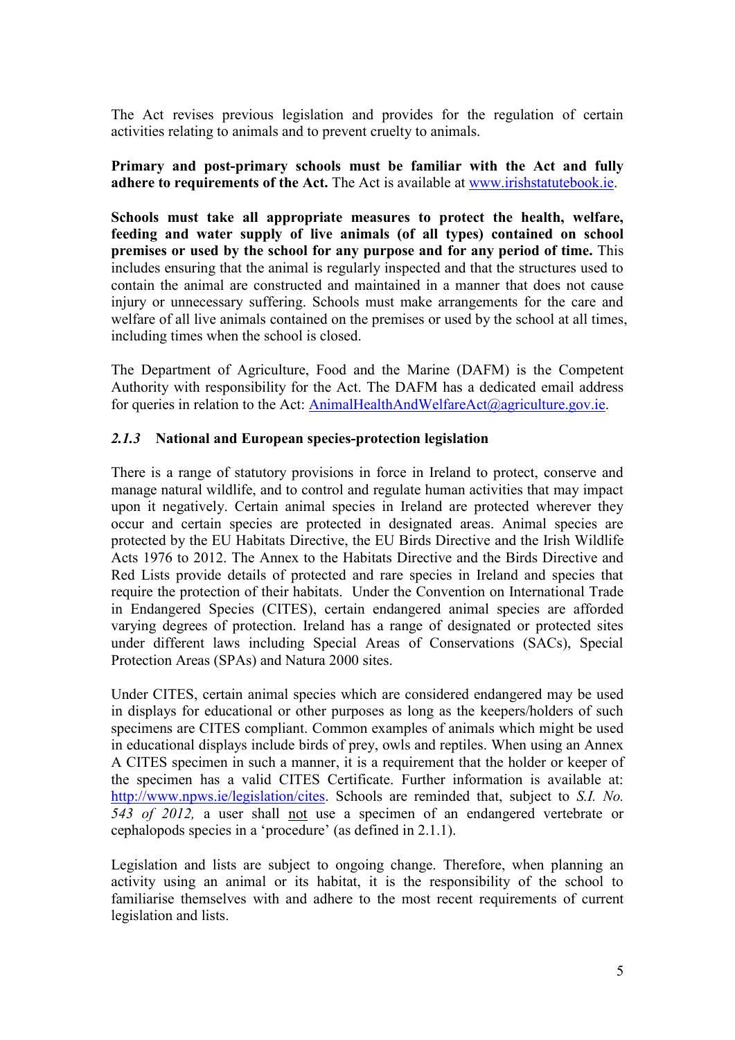The Act revises previous legislation and provides for the regulation of certain activities relating to animals and to prevent cruelty to animals.

**Primary and post-primary schools must be familiar with the Act and fully adhere to requirements of the Act.** The Act is available at [www.irishstatutebook.ie.](http://www.irishstatutebook.ie/)

**Schools must take all appropriate measures to protect the health, welfare, feeding and water supply of live animals (of all types) contained on school premises or used by the school for any purpose and for any period of time.** This includes ensuring that the animal is regularly inspected and that the structures used to contain the animal are constructed and maintained in a manner that does not cause injury or unnecessary suffering. Schools must make arrangements for the care and welfare of all live animals contained on the premises or used by the school at all times, including times when the school is closed.

The Department of Agriculture, Food and the Marine (DAFM) is the Competent Authority with responsibility for the Act. The DAFM has a dedicated email address for queries in relation to the Act: [AnimalHealthAndWelfareAct@agriculture.gov.ie.](mailto:AnimalHealthAndWelfareAct@agriculture.gov.ie)

#### *2.1.3* **National and European species-protection legislation**

There is a range of statutory provisions in force in Ireland to protect, conserve and manage natural wildlife, and to control and regulate human activities that may impact upon it negatively. Certain animal species in Ireland are protected wherever they occur and certain species are protected in designated areas. Animal species are protected by the EU Habitats Directive, the EU Birds Directive and the Irish Wildlife Acts 1976 to 2012. The Annex to the Habitats Directive and the Birds Directive and Red Lists provide details of protected and rare species in Ireland and species that require the protection of their habitats. Under the Convention on International Trade in Endangered Species (CITES), certain endangered animal species are afforded varying degrees of protection. Ireland has a range of designated or protected sites under different laws including Special Areas of Conservations (SACs), Special Protection Areas (SPAs) and Natura 2000 sites.

Under CITES, certain animal species which are considered endangered may be used in displays for educational or other purposes as long as the keepers/holders of such specimens are CITES compliant. Common examples of animals which might be used in educational displays include birds of prey, owls and reptiles. When using an Annex A CITES specimen in such a manner, it is a requirement that the holder or keeper of the specimen has a valid CITES Certificate. Further information is available at: [http://www.npws.ie/legislation/cites.](http://www.npws.ie/legislation/cites) Schools are reminded that, subject to *S.I. No. 543 of 2012,* a user shall not use a specimen of an endangered vertebrate or cephalopods species in a 'procedure' (as defined in 2.1.1).

Legislation and lists are subject to ongoing change. Therefore, when planning an activity using an animal or its habitat, it is the responsibility of the school to familiarise themselves with and adhere to the most recent requirements of current legislation and lists.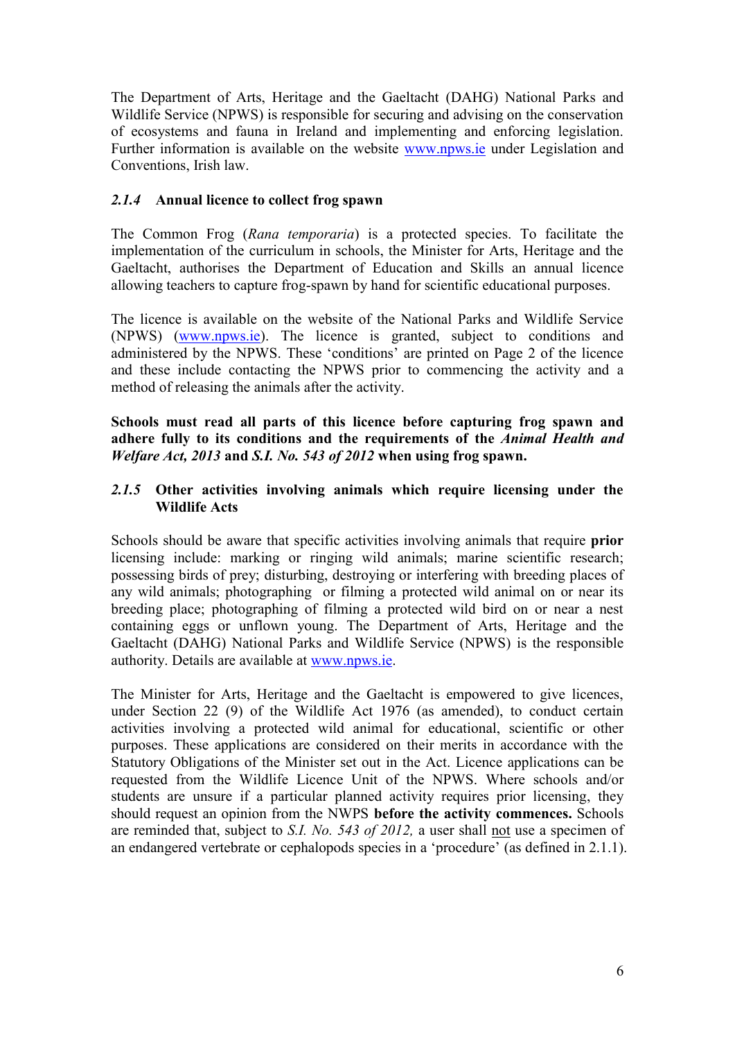The Department of Arts, Heritage and the Gaeltacht (DAHG) National Parks and Wildlife Service (NPWS) is responsible for securing and advising on the conservation of ecosystems and fauna in Ireland and implementing and enforcing legislation. Further information is available on the website [www.npws.ie](http://www.npws.ie/) under Legislation and Conventions, Irish law.

#### *2.1.4* **Annual licence to collect frog spawn**

The Common Frog (*Rana temporaria*) is a protected species. To facilitate the implementation of the curriculum in schools, the Minister for Arts, Heritage and the Gaeltacht, authorises the Department of Education and Skills an annual licence allowing teachers to capture frog-spawn by hand for scientific educational purposes.

The licence is available on the website of the National Parks and Wildlife Service (NPWS) [\(www.npws.ie\)](http://www.npws.ie/). The licence is granted, subject to conditions and administered by the NPWS. These 'conditions' are printed on Page 2 of the licence and these include contacting the NPWS prior to commencing the activity and a method of releasing the animals after the activity.

**Schools must read all parts of this licence before capturing frog spawn and adhere fully to its conditions and the requirements of the** *Animal Health and Welfare Act, 2013* **and** *S.I. No. 543 of 2012* **when using frog spawn.**

#### *2.1.5* **Other activities involving animals which require licensing under the Wildlife Acts**

Schools should be aware that specific activities involving animals that require **prior** licensing include: marking or ringing wild animals; [marine scientific research;](file:///C:/licences/educationandscience/marinescientificresearch/) possessing birds of prey; disturbing, destroying or interfering with breeding places of any wild animals; photographing or filming a protected wild animal on or near its breeding place; photographing of filming a protected wild bird on or near a nest containing eggs or unflown young. The Department of Arts, Heritage and the Gaeltacht (DAHG) National Parks and Wildlife Service (NPWS) is the responsible authority. Details are available at [www.npws.ie.](http://www.npws.ie/)

The Minister for Arts, Heritage and the Gaeltacht is empowered to give licences, under Section 22 (9) of the Wildlife Act 1976 (as amended), to conduct certain activities involving a protected wild animal for educational, scientific or other purposes. These applications are considered on their merits in accordance with the Statutory Obligations of the Minister set out in the Act. Licence applications can be requested from the Wildlife Licence Unit of the NPWS. Where schools and/or students are unsure if a particular planned activity requires prior licensing, they should request an opinion from the NWPS **before the activity commences.** Schools are reminded that, subject to *S.I. No. 543 of 2012,* a user shall not use a specimen of an endangered vertebrate or cephalopods species in a 'procedure' (as defined in 2.1.1).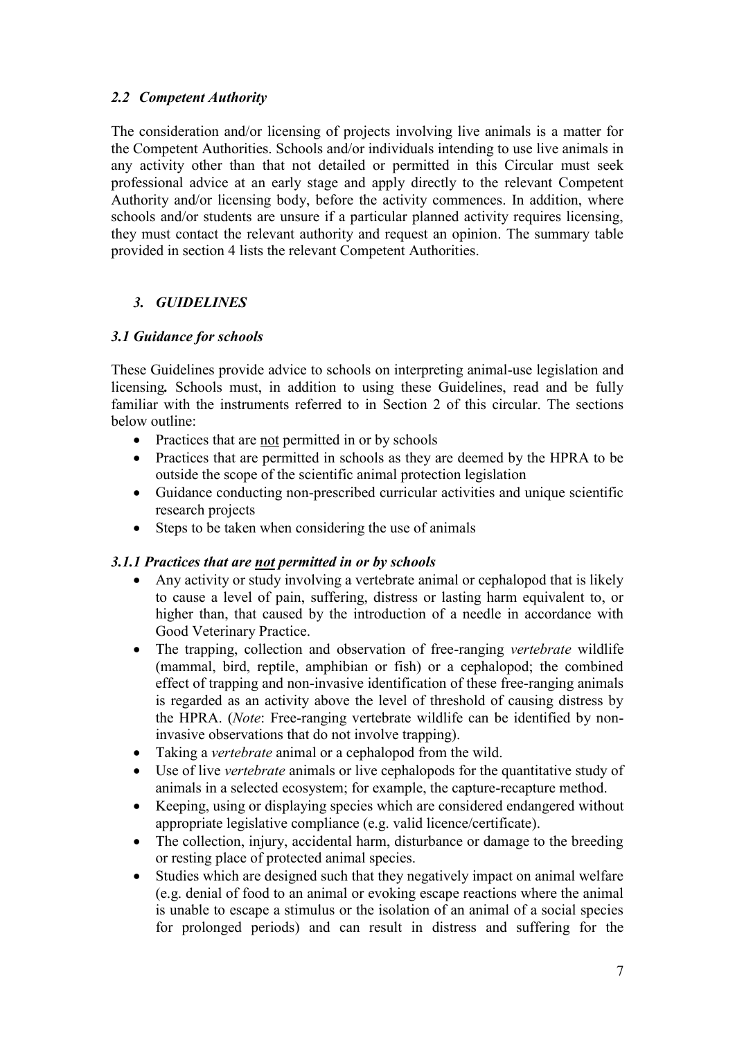## *2.2 Competent Authority*

The consideration and/or licensing of projects involving live animals is a matter for the Competent Authorities. Schools and/or individuals intending to use live animals in any activity other than that not detailed or permitted in this Circular must seek professional advice at an early stage and apply directly to the relevant Competent Authority and/or licensing body, before the activity commences. In addition, where schools and/or students are unsure if a particular planned activity requires licensing, they must contact the relevant authority and request an opinion. The summary table provided in section 4 lists the relevant Competent Authorities.

## *3. GUIDELINES*

## *3.1 Guidance for schools*

These Guidelines provide advice to schools on interpreting animal-use legislation and licensing*.* Schools must, in addition to using these Guidelines, read and be fully familiar with the instruments referred to in Section 2 of this circular. The sections below outline:

- Practices that are not permitted in or by schools
- Practices that are permitted in schools as they are deemed by the HPRA to be outside the scope of the scientific animal protection legislation
- Guidance conducting non-prescribed curricular activities and unique scientific research projects
- Steps to be taken when considering the use of animals

#### *3.1.1 Practices that are not permitted in or by schools*

- Any activity or study involving a vertebrate animal or cephalopod that is likely to cause a level of pain, suffering, distress or lasting harm equivalent to, or higher than, that caused by the introduction of a needle in accordance with Good Veterinary Practice.
- The trapping, collection and observation of free-ranging *vertebrate* wildlife (mammal, bird, reptile, amphibian or fish) or a cephalopod; the combined effect of trapping and non-invasive identification of these free-ranging animals is regarded as an activity above the level of threshold of causing distress by the HPRA. (*Note*: Free-ranging vertebrate wildlife can be identified by noninvasive observations that do not involve trapping).
- Taking a *vertebrate* animal or a cephalopod from the wild.
- Use of live *vertebrate* animals or live cephalopods for the quantitative study of animals in a selected ecosystem; for example, the capture-recapture method.
- Keeping, using or displaying species which are considered endangered without appropriate legislative compliance (e.g. valid licence/certificate).
- The collection, injury, accidental harm, disturbance or damage to the breeding or resting place of protected animal species.
- Studies which are designed such that they negatively impact on animal welfare (e.g. denial of food to an animal or evoking escape reactions where the animal is unable to escape a stimulus or the isolation of an animal of a social species for prolonged periods) and can result in distress and suffering for the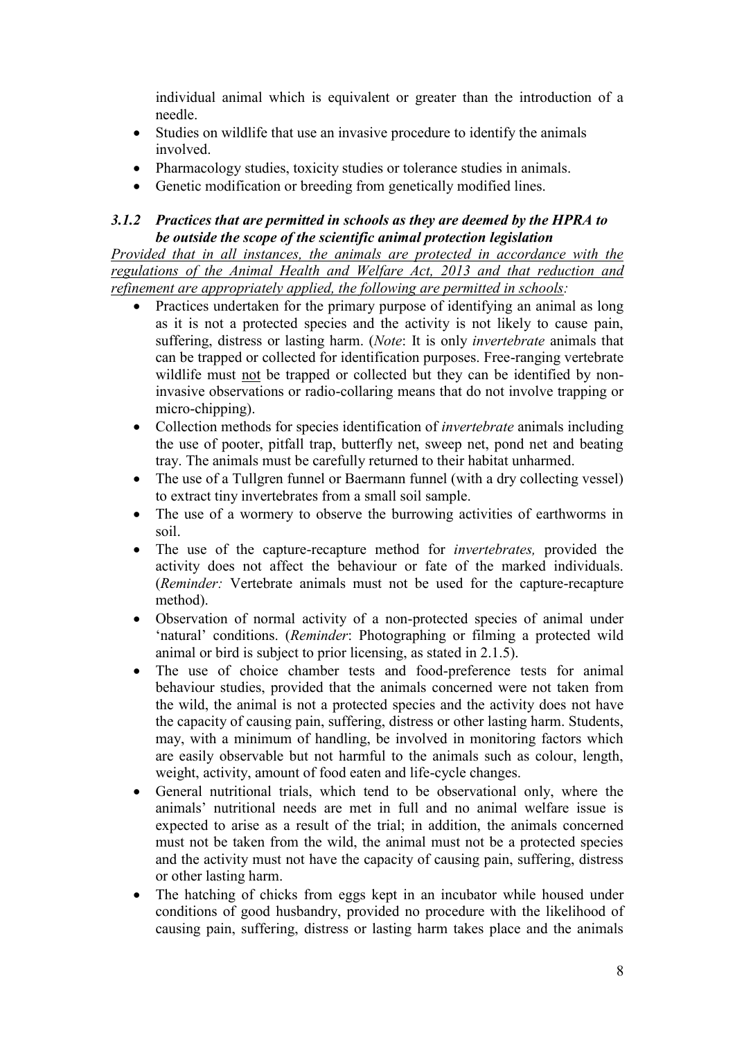individual animal which is equivalent or greater than the introduction of a needle.

- Studies on wildlife that use an invasive procedure to identify the animals involved.
- Pharmacology studies, toxicity studies or tolerance studies in animals.
- Genetic modification or breeding from genetically modified lines.

#### *3.1.2 Practices that are permitted in schools as they are deemed by the HPRA to be outside the scope of the scientific animal protection legislation*

*Provided that in all instances, the animals are protected in accordance with the regulations of the Animal Health and Welfare Act, 2013 and that reduction and refinement are appropriately applied, the following are permitted in schools:*

- Practices undertaken for the primary purpose of identifying an animal as long as it is not a protected species and the activity is not likely to cause pain, suffering, distress or lasting harm. (*Note*: It is only *invertebrate* animals that can be trapped or collected for identification purposes. Free-ranging vertebrate wildlife must not be trapped or collected but they can be identified by noninvasive observations or radio-collaring means that do not involve trapping or micro-chipping).
- Collection methods for species identification of *invertebrate* animals including the use of pooter, pitfall trap, butterfly net, sweep net, pond net and beating tray. The animals must be carefully returned to their habitat unharmed.
- The use of a Tullgren funnel or Baermann funnel (with a dry collecting vessel) to extract tiny invertebrates from a small soil sample.
- The use of a wormery to observe the burrowing activities of earthworms in soil.
- The use of the capture-recapture method for *invertebrates,* provided the activity does not affect the behaviour or fate of the marked individuals. (*Reminder:* Vertebrate animals must not be used for the capture-recapture method).
- Observation of normal activity of a non-protected species of animal under 'natural' conditions. (*Reminder*: Photographing or filming a protected wild animal or bird is subject to prior licensing, as stated in 2.1.5).
- The use of choice chamber tests and food-preference tests for animal behaviour studies, provided that the animals concerned were not taken from the wild, the animal is not a protected species and the activity does not have the capacity of causing pain, suffering, distress or other lasting harm. Students, may, with a minimum of handling, be involved in monitoring factors which are easily observable but not harmful to the animals such as colour, length, weight, activity, amount of food eaten and life-cycle changes.
- General nutritional trials, which tend to be observational only, where the animals' nutritional needs are met in full and no animal welfare issue is expected to arise as a result of the trial; in addition, the animals concerned must not be taken from the wild, the animal must not be a protected species and the activity must not have the capacity of causing pain, suffering, distress or other lasting harm.
- The hatching of chicks from eggs kept in an incubator while housed under conditions of good husbandry, provided no procedure with the likelihood of causing pain, suffering, distress or lasting harm takes place and the animals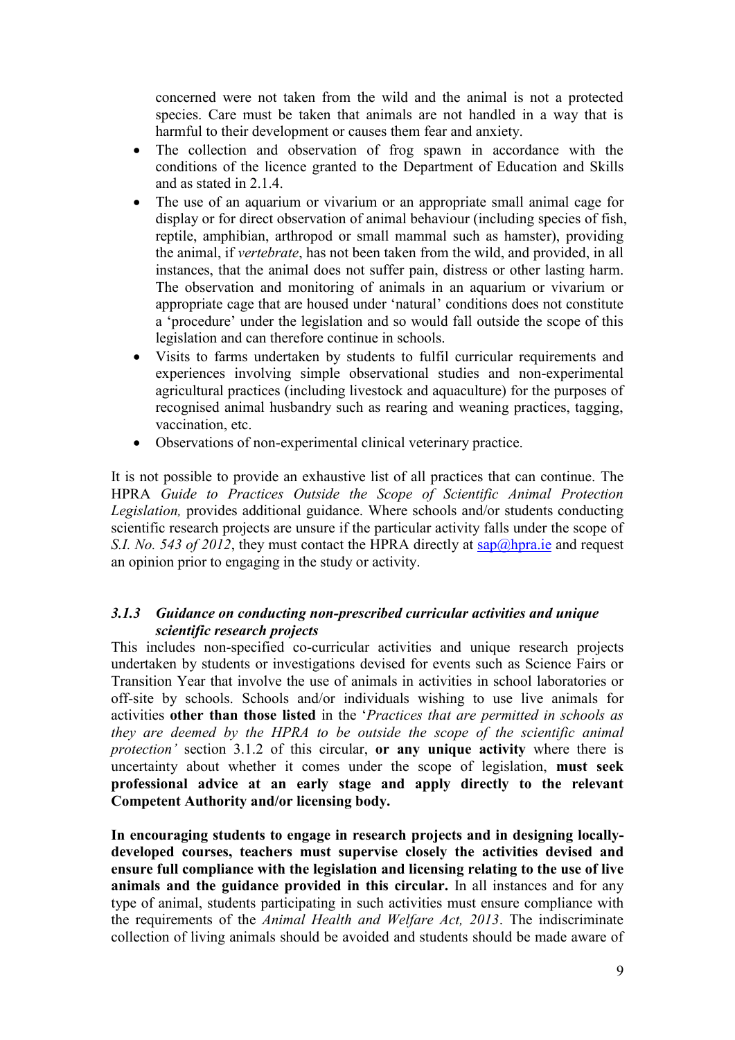concerned were not taken from the wild and the animal is not a protected species. Care must be taken that animals are not handled in a way that is harmful to their development or causes them fear and anxiety.

- The collection and observation of frog spawn in accordance with the conditions of the licence granted to the Department of Education and Skills and as stated in 2.1.4.
- The use of an aquarium or vivarium or an appropriate small animal cage for display or for direct observation of animal behaviour (including species of fish, reptile, amphibian, arthropod or small mammal such as hamster), providing the animal, if *vertebrate*, has not been taken from the wild, and provided, in all instances, that the animal does not suffer pain, distress or other lasting harm. The observation and monitoring of animals in an aquarium or vivarium or appropriate cage that are housed under 'natural' conditions does not constitute a 'procedure' under the legislation and so would fall outside the scope of this legislation and can therefore continue in schools.
- Visits to farms undertaken by students to fulfil curricular requirements and experiences involving simple observational studies and non-experimental agricultural practices (including livestock and aquaculture) for the purposes of recognised animal husbandry such as rearing and weaning practices, tagging, vaccination, etc.
- Observations of non-experimental clinical veterinary practice.

It is not possible to provide an exhaustive list of all practices that can continue. The HPRA *Guide to Practices Outside the Scope of Scientific Animal Protection Legislation,* provides additional guidance. Where schools and/or students conducting scientific research projects are unsure if the particular activity falls under the scope of *S.I. No. 543 of 2012*, they must contact the HPRA directly at [sap@hpra.ie](mailto:sap@hpra.ie) and request an opinion prior to engaging in the study or activity.

#### *3.1.3 Guidance on conducting non-prescribed curricular activities and unique scientific research projects*

This includes non-specified co-curricular activities and unique research projects undertaken by students or investigations devised for events such as Science Fairs or Transition Year that involve the use of animals in activities in school laboratories or off-site by schools. Schools and/or individuals wishing to use live animals for activities **other than those listed** in the '*Practices that are permitted in schools as they are deemed by the HPRA to be outside the scope of the scientific animal protection'* section 3.1.2 of this circular, **or any unique activity** where there is uncertainty about whether it comes under the scope of legislation, **must seek professional advice at an early stage and apply directly to the relevant Competent Authority and/or licensing body.** 

**In encouraging students to engage in research projects and in designing locallydeveloped courses, teachers must supervise closely the activities devised and ensure full compliance with the legislation and licensing relating to the use of live animals and the guidance provided in this circular.** In all instances and for any type of animal, students participating in such activities must ensure compliance with the requirements of the *Animal Health and Welfare Act, 2013*. The indiscriminate collection of living animals should be avoided and students should be made aware of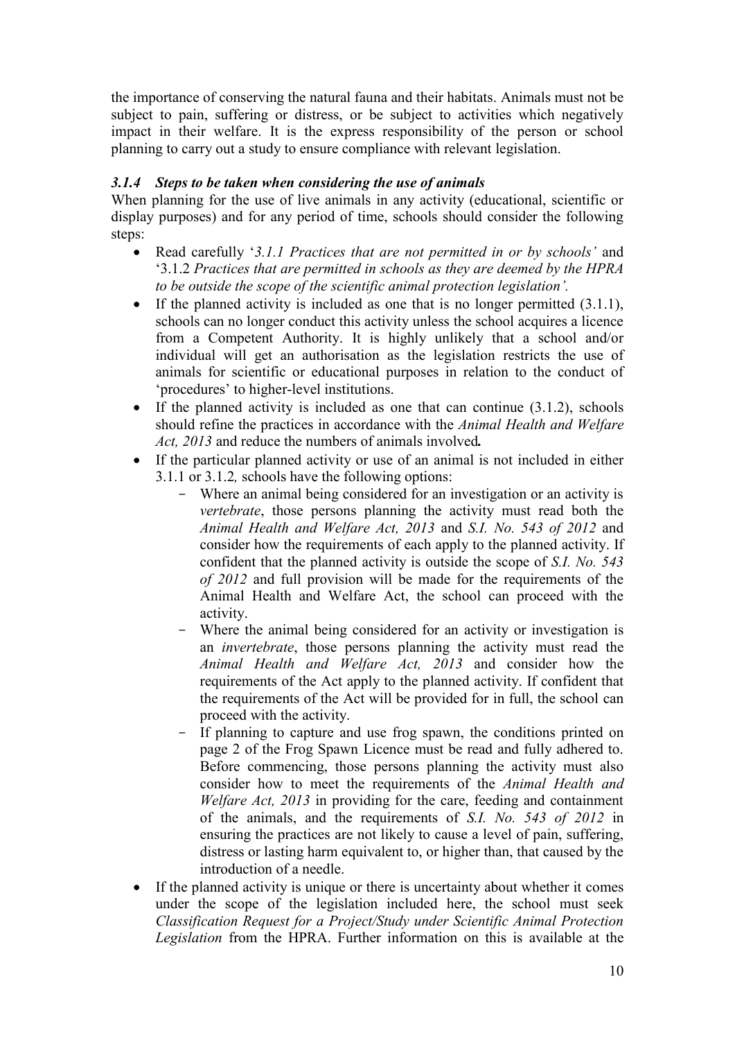the importance of conserving the natural fauna and their habitats. Animals must not be subject to pain, suffering or distress, or be subject to activities which negatively impact in their welfare. It is the express responsibility of the person or school planning to carry out a study to ensure compliance with relevant legislation.

### *3.1.4 Steps to be taken when considering the use of animals*

When planning for the use of live animals in any activity (educational, scientific or display purposes) and for any period of time, schools should consider the following steps:

- Read carefully '*3.1.1 Practices that are not permitted in or by schools'* and '3.1.2 *Practices that are permitted in schools as they are deemed by the HPRA to be outside the scope of the scientific animal protection legislation'.*
- If the planned activity is included as one that is no longer permitted  $(3.1.1)$ , schools can no longer conduct this activity unless the school acquires a licence from a Competent Authority. It is highly unlikely that a school and/or individual will get an authorisation as the legislation restricts the use of animals for scientific or educational purposes in relation to the conduct of 'procedures' to higher-level institutions.
- If the planned activity is included as one that can continue  $(3.1.2)$ , schools should refine the practices in accordance with the *Animal Health and Welfare Act, 2013* and reduce the numbers of animals involved*.*
- If the particular planned activity or use of an animal is not included in either 3.1.1 or 3.1.2*,* schools have the following options:
	- Where an animal being considered for an investigation or an activity is *vertebrate*, those persons planning the activity must read both the *Animal Health and Welfare Act, 2013* and *S.I. No. 543 of 2012* and consider how the requirements of each apply to the planned activity. If confident that the planned activity is outside the scope of *S.I. No. 543 of 2012* and full provision will be made for the requirements of the Animal Health and Welfare Act, the school can proceed with the activity.
	- Where the animal being considered for an activity or investigation is an *invertebrate*, those persons planning the activity must read the *Animal Health and Welfare Act, 2013* and consider how the requirements of the Act apply to the planned activity. If confident that the requirements of the Act will be provided for in full, the school can proceed with the activity.
	- If planning to capture and use frog spawn, the conditions printed on page 2 of the Frog Spawn Licence must be read and fully adhered to. Before commencing, those persons planning the activity must also consider how to meet the requirements of the *Animal Health and Welfare Act, 2013* in providing for the care, feeding and containment of the animals, and the requirements of *S.I. No. 543 of 2012* in ensuring the practices are not likely to cause a level of pain, suffering, distress or lasting harm equivalent to, or higher than, that caused by the introduction of a needle.
- If the planned activity is unique or there is uncertainty about whether it comes under the scope of the legislation included here, the school must seek *Classification Request for a Project/Study under Scientific Animal Protection Legislation* from the HPRA. Further information on this is available at the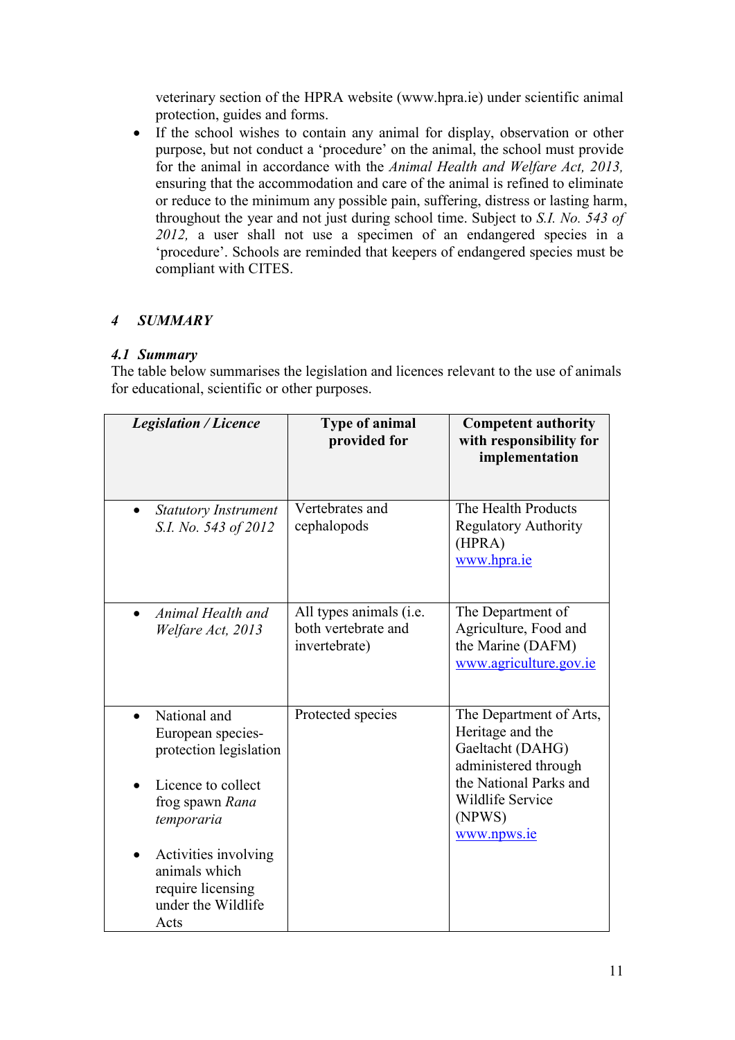veterinary section of the HPRA website (www.hpra.ie) under scientific animal protection, guides and forms.

• If the school wishes to contain any animal for display, observation or other purpose, but not conduct a 'procedure' on the animal, the school must provide for the animal in accordance with the *Animal Health and Welfare Act, 2013,* ensuring that the accommodation and care of the animal is refined to eliminate or reduce to the minimum any possible pain, suffering, distress or lasting harm, throughout the year and not just during school time. Subject to *S.I. No. 543 of 2012,* a user shall not use a specimen of an endangered species in a 'procedure'. Schools are reminded that keepers of endangered species must be compliant with CITES.

## *4 SUMMARY*

## *4.1 Summary*

The table below summarises the legislation and licences relevant to the use of animals for educational, scientific or other purposes.

| <b>Legislation / Licence</b>                                                                                       | Type of animal<br>provided for                                  | <b>Competent authority</b><br>with responsibility for<br>implementation                                                                                               |
|--------------------------------------------------------------------------------------------------------------------|-----------------------------------------------------------------|-----------------------------------------------------------------------------------------------------------------------------------------------------------------------|
| <b>Statutory Instrument</b><br>S.I. No. 543 of 2012                                                                | Vertebrates and<br>cephalopods                                  | The Health Products<br><b>Regulatory Authority</b><br>(HPRA)<br>www.hpra.ie                                                                                           |
| Animal Health and<br>Welfare Act, 2013                                                                             | All types animals (i.e.<br>both vertebrate and<br>invertebrate) | The Department of<br>Agriculture, Food and<br>the Marine (DAFM)<br>www.agriculture.gov.ie                                                                             |
| National and<br>European species-<br>protection legislation<br>Licence to collect<br>frog spawn Rana<br>temporaria | Protected species                                               | The Department of Arts,<br>Heritage and the<br>Gaeltacht (DAHG)<br>administered through<br>the National Parks and<br><b>Wildlife Service</b><br>(NPWS)<br>www.npws.ie |
| Activities involving<br>animals which<br>require licensing<br>under the Wildlife<br>Acts                           |                                                                 |                                                                                                                                                                       |